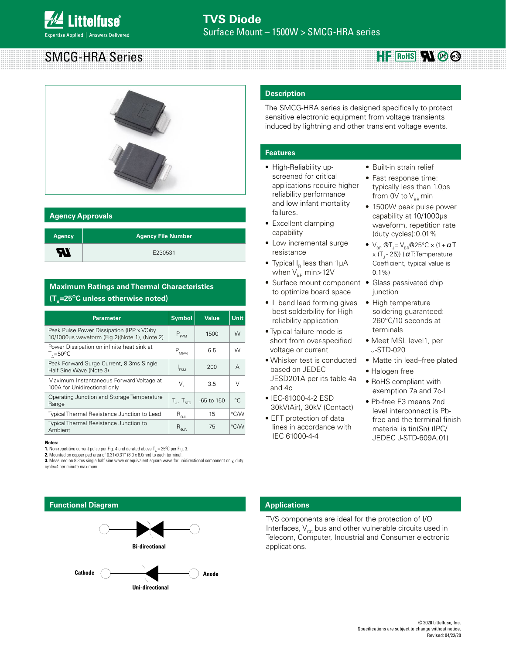# SMCG-HRA Series



### **Agency Approvals**

| <b>Agency</b> | <b>Agency File Number</b> |
|---------------|---------------------------|
| <b>R</b>      | E230531                   |

# **Maximum Ratings and Thermal Characteristics (T<sub>^</sub>=25<sup>o</sup>C unless otherwise noted)**

| <b>Parameter</b>                                                                           | <b>Symbol</b>               | <b>Value</b>   | Unit        |
|--------------------------------------------------------------------------------------------|-----------------------------|----------------|-------------|
| Peak Pulse Power Dissipation (IPP x VC) by<br>10/1000us waveform (Fig.2)(Note 1), (Note 2) | $P_{PPM}$                   | 1500           | W           |
| Power Dissipation on infinite heat sink at<br>$T_{0} = 50^{\circ}$ C                       | $P_{M/AV}$                  | 6.5            | W           |
| Peak Forward Surge Current, 8.3ms Single<br>Half Sine Wave (Note 3)                        | <b>FSM</b>                  | 200            | A           |
| Maximum Instantaneous Forward Voltage at<br>100A for Unidirectional only                   | V.                          | 3.5            | $\vee$      |
| Operating Junction and Storage Temperature<br>Range                                        | $T_{J'}$ , $T_{\text{STG}}$ | $-65$ to $150$ | $^{\circ}C$ |
| Typical Thermal Resistance Junction to Lead                                                | $R_{\Theta \cup L}$         | 15             | °C/W        |
| Typical Thermal Resistance Junction to<br>Ambient                                          | $R_{\rm \ThetaJA}$          | 75             | °CM         |

**1.** Non-repetitive current pulse per Fig. 4 and derated above  $T_{_{\rm A}}$  = 25°C per Fig. 3.

**2.** Mounted on copper pad area of 0.31x0.31" (8.0 x 8.0mm) to each termin **3.** Measured on 8.3ms single half sine wave or equivalent square wave for unidirectional component only, duty cycle=4 per minute maximum.

# **Description**

The SMCG-HRA series is designed specifically to protect sensitive electronic equipment from voltage transients induced by lightning and other transient voltage events.

## **Features**

- High-Reliability upscreened for critical applications require higher reliability performance and low infant mortality failures.
- Excellent clamping capability
- Low incremental surge resistance
- Typical  $I_R$  less than 1µA when  $V_{BR}$  min $>12V$
- Surface mount component Glass passivated chip to optimize board space
- L bend lead forming gives best solderbility for High reliability application
- Typical failure mode is short from over-specified voltage or current
- Whisker test is conducted based on JEDEC JESD201A per its table 4a and 4c
- IEC-61000-4-2 ESD 30kV(Air), 30kV (Contact)
- EFT protection of data lines in accordance with IEC 61000-4-4
- Built-in strain relief
- Fast response time: typically less than 1.0ps from 0V to  $V_{BR}$  min

**RoHS Pb**  $\odot$  **e3** 

- 1500W peak pulse power capability at 10/1000μs waveform, repetition rate (duty cycles):0.01%
- $V_{BR}$  @T<sub>J</sub>=  $V_{BR}$ @25°C x (1 +  $a$  T  $x$  (T<sub>1</sub> - 25)) ( $\alpha$  T:Temperature Coefficient, typical value is  $0.1\%$
- junction
- High temperature soldering guaranteed: 260°C/10 seconds at terminals
- Meet MSL level1, per J-STD-020
- Matte tin lead–free plated
- Halogen free
- RoHS compliant with exemption 7a and 7c-I
- Pb-free E3 means 2nd level interconnect is Pbfree and the terminal finish material is tin(Sn) (IPC/ JEDEC J-STD-609A.01) **Notes:**



**Uni-directional** 

# **Applications**

TVS components are ideal for the protection of I/O Interfaces,  $V_{cc}$  bus and other vulnerable circuits used in Telecom, Computer, Industrial and Consumer electronic applications.

Revised: 04/22/20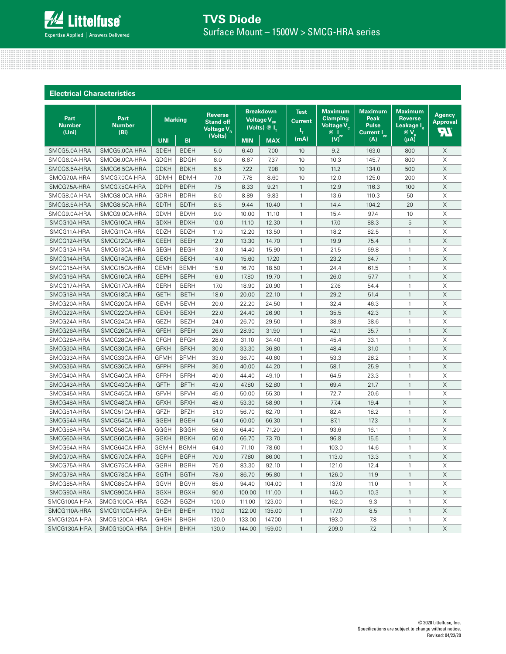

**Electrical Characteristics**

| <b>Breakdown</b><br><b>Maximum</b><br><b>Maximum</b><br><b>Maximum</b><br><b>Test</b><br><b>Reverse</b><br><b>Agency</b><br>Part<br>Part<br><b>Clamping</b><br>Peak<br><b>Reverse</b><br><b>Marking</b><br><b>Voltage <math>\overline{V_{_{\rm BR}}}</math></b><br><b>Current</b><br><b>Stand off</b><br>Approval<br><b>Number</b><br><b>Voltage <math>V_c</math></b><br><b>Pulse</b><br>Leakage IR<br><b>Number</b><br>(Volts) $@I_{T}$<br>Voltage $V_{R}$<br>Τ,<br>7Ľ<br>(Uni)<br>(Bi)<br>$@V_{R}$<br>@ <br>Current I <sub>pp</sub><br>(Volts)<br>WP<br>(mA)<br>$(\mu A)$<br>(A)<br><b>UNI</b><br><b>MAX</b><br><b>BI</b><br><b>MIN</b><br>SMCG5.0CA-HRA<br>X<br>SMCG5.0A-HRA<br><b>GDEH</b><br><b>BDEH</b><br>5.0<br>6.40<br>7.00<br>10<br>9.2<br>163.0<br>800<br>X<br><b>GDGH</b><br><b>BDGH</b><br>6.0<br>7.37<br>10.3<br>145.7<br>800<br>SMCG6.0A-HRA<br>SMCG6.0CA-HRA<br>6.67<br>10<br>$\mathsf X$<br>SMCG6.5A-HRA<br>SMCG6.5CA-HRA<br><b>GDKH</b><br><b>BDKH</b><br>6.5<br>7.22<br>7.98<br>10<br>11.2<br>134.0<br>500<br>X<br>SMCG7.0A-HRA<br>SMCG7.0CA-HRA<br><b>GDMH</b><br>7.0<br>7.78<br>8.60<br>10<br>12.0<br>125.0<br>200<br><b>BDMH</b><br>X<br>SMCG7.5A-HRA<br>SMCG7.5CA-HRA<br><b>GDPH</b><br><b>BDPH</b><br>7.5<br>9.21<br>$\mathbf{1}$<br>12.9<br>116.3<br>100<br>8.33<br>8.0<br>X<br>SMCG8.0A-HRA<br>SMCG8.0CA-HRA<br>GDRH<br><b>BDRH</b><br>8.89<br>9.83<br>$\mathbf{1}$<br>13.6<br>110.3<br>50<br>20<br>X<br><b>GDTH</b><br><b>BDTH</b><br>8.5<br>10.40<br>$\mathbf{1}$<br>104.2<br>SMCG8.5A-HRA<br>SMCG8.5CA-HRA<br>9.44<br>14.4<br>X<br>$\mathbf{1}$<br>10<br>SMCG9.0A-HRA<br>SMCG9.0CA-HRA<br><b>GDVH</b><br><b>BDVH</b><br>9.0<br>10.00<br>11.10<br>15.4<br>97.4<br>5<br>$\mathsf X$<br>$\mathbf{1}$<br>88.3<br>SMCG10A-HRA<br>SMCG10CA-HRA<br><b>GDXH</b><br><b>BDXH</b><br>10.0<br>11.10<br>12.30<br>17.0<br>SMCG11CA-HRA<br>GDZH<br><b>BDZH</b><br>11.0<br>12.20<br>18.2<br>Χ<br>SMCG11A-HRA<br>13.50<br>$\mathbf{1}$<br>82.5<br>$\mathbf{1}$<br>$\times$<br>SMCG12CA-HRA<br><b>GEEH</b><br><b>BEEH</b><br>12.0<br>14.70<br>$\mathbf{1}$<br>19.9<br>$\mathbf{1}$<br>SMCG12A-HRA<br>13.30<br>75.4<br>X<br><b>GEGH</b><br><b>BEGH</b><br>SMCG13A-HRA<br>SMCG13CA-HRA<br>13.0<br>14.40<br>15.90<br>$\mathbf{1}$<br>21.5<br>69.8<br>$\mathbf{1}$<br>X<br>SMCG14CA-HRA<br><b>GEKH</b><br><b>BEKH</b><br>14.0<br>17.20<br>$\mathbf{1}$<br>23.2<br>64.7<br>$\mathbf{1}$<br>SMCG14A-HRA<br>15.60<br>$\boldsymbol{\mathsf{X}}$<br>SMCG15CA-HRA<br><b>BEMH</b><br>$\mathbf{1}$<br>$\mathbf{1}$<br>SMCG15A-HRA<br><b>GEMH</b><br>15.0<br>16.70<br>18.50<br>24.4<br>61.5<br>X<br><b>GEPH</b><br><b>BEPH</b><br>16.0<br>$\mathbf{1}$<br>SMCG16A-HRA<br>SMCG16CA-HRA<br>17.80<br>19.70<br>26.0<br>57.7<br>$\mathbf{1}$<br>17.0<br>Χ<br>SMCG17A-HRA<br>SMCG17CA-HRA<br><b>GERH</b><br><b>BERH</b><br>18.90<br>20.90<br>1<br>27.6<br>54.4<br>$\mathbf{1}$<br>X<br>$\mathbf{1}$<br>29.2<br>51.4<br>$\mathbf{1}$<br>SMCG18A-HRA<br>SMCG18CA-HRA<br><b>GETH</b><br><b>BETH</b><br>18.0<br>20.00<br>22.10<br>X<br>SMCG20CA-HRA<br><b>GEVH</b><br><b>BEVH</b><br>20.0<br>22.20<br>24.50<br>32.4<br>46.3<br>$\mathbf{1}$<br>SMCG20A-HRA<br>$\mathbf{1}$<br>$\times$<br><b>BEXH</b><br>$\mathbf{1}$<br>$\mathbf{1}$<br>SMCG22A-HRA<br>SMCG22CA-HRA<br><b>GEXH</b><br>22.0<br>24.40<br>26.90<br>35.5<br>42.3<br>X<br>SMCG24A-HRA<br>SMCG24CA-HRA<br><b>GEZH</b><br><b>BEZH</b><br>24.0<br>26.70<br>29.50<br>$\mathbf{1}$<br>38.9<br>38.6<br>$\mathbf{1}$<br><b>GFEH</b><br><b>BFEH</b><br>35.7<br>X<br>SMCG26A-HRA<br>SMCG26CA-HRA<br>26.0<br>28.90<br>31.90<br>$\mathbf{1}$<br>42.1<br>$\mathbf{1}$<br><b>GFGH</b><br><b>BFGH</b><br>$\mathbf{1}$<br>33.1<br>X<br>SMCG28A-HRA<br>SMCG28CA-HRA<br>28.0<br>31.10<br>34.40<br>45.4<br>$\mathbf{1}$<br>X<br><b>GFKH</b><br><b>BFKH</b><br>30.0<br>$\mathbf{1}$<br>SMCG30A-HRA<br>SMCG30CA-HRA<br>33.30<br>36.80<br>48.4<br>31.0<br>$\mathbf{1}$<br>X<br>33.0<br>$\mathbf{1}$<br>$\mathbf{1}$<br>SMCG33A-HRA<br>SMCG33CA-HRA<br><b>GFMH</b><br><b>BFMH</b><br>36.70<br>40.60<br>53.3<br>28.2<br>$\mathsf X$<br>SMCG36CA-HRA<br><b>GFPH</b><br><b>BFPH</b><br>36.0<br>$\mathbf{1}$<br>$\mathbf{1}$<br>SMCG36A-HRA<br>40.00<br>44.20<br>58.1<br>25.9<br>SMCG40A-HRA<br>SMCG40CA-HRA<br><b>GFRH</b><br><b>BFRH</b><br>40.0<br>44.40<br>49.10<br>$\mathbf{1}$<br>64.5<br>23.3<br>$\mathbf{1}$<br>Χ<br>X<br>SMCG43CA-HRA<br><b>GFTH</b><br>47.80<br>52.80<br>$\mathbf{1}$<br>21.7<br>SMCG43A-HRA<br><b>BFTH</b><br>43.0<br>69.4<br>$\mathbf{1}$<br>X<br>SMCG45A-HRA<br>SMCG45CA-HRA<br><b>GFVH</b><br><b>BFVH</b><br>45.0<br>50.00<br>55.30<br>$\mathbf{1}$<br>72.7<br>20.6<br>$\mathbf{1}$<br>X<br><b>GFXH</b><br><b>BFXH</b><br>$\mathbf{1}$<br>SMCG48A-HRA<br>SMCG48CA-HRA<br>48.0<br>53.30<br>58.90<br>77.4<br>19.4<br>$\mathbf{1}$<br>SMCG51CA-HRA<br><b>GFZH</b><br><b>BFZH</b><br>$\mathbf{1}$<br>$\mathbf{1}$<br>Χ<br>SMCG51A-HRA<br>51.0<br>56.70<br>62.70<br>82.4<br>18.2<br>X<br>GGEH<br><b>BGEH</b><br>54.0<br>66.30<br>$\mathbf{1}$<br>87.1<br>17.3<br>$\mathbf{1}$<br>SMCG54A-HRA<br>SMCG54CA-HRA<br>60.00<br>GGGH<br>71.20<br>16.1<br>Χ<br>SMCG58A-HRA<br>SMCG58CA-HRA<br><b>BGGH</b><br>58.0<br>64.40<br>$\mathbf{1}$<br>93.6<br>$\mathbf{1}$<br>$\mathsf X$<br><b>GGKH</b><br>$\mathbf{1}$<br>$\mathbf{1}$<br>SMCG60A-HRA<br>SMCG60CA-HRA<br><b>BGKH</b><br>60.0<br>66.70<br>73.70<br>96.8<br>15.5<br>X<br>SMCG64CA-HRA<br>GGMH<br><b>BGMH</b><br>$\mathbf{1}$<br>SMCG64A-HRA<br>64.0<br>71.10<br>78.60<br>1<br>103.0<br>14.6<br>$\mathsf X$<br>SMCG70CA-HRA<br><b>GGPH</b><br><b>BGPH</b><br>$\mathbf{1}$<br>$\mathbf{1}$<br>SMCG70A-HRA<br>70.0<br>77.80<br>86.00<br>113.0<br>13.3<br>SMCG75CA-HRA<br>GGRH<br><b>BGRH</b><br>75.0<br>83.30<br>92.10<br>12.4<br>X<br>SMCG75A-HRA<br>1<br>121.0<br>1<br>SMCG78A-HRA<br>SMCG78CA-HRA<br><b>BGTH</b><br>126.0<br>X<br>GGTH<br>78.0<br>86.70<br>95.80<br>$\mathbf{1}$<br>11.9<br>$\mathbf{1}$ |             |              |      |      |      |       |        |              |       |      |              |   |
|---------------------------------------------------------------------------------------------------------------------------------------------------------------------------------------------------------------------------------------------------------------------------------------------------------------------------------------------------------------------------------------------------------------------------------------------------------------------------------------------------------------------------------------------------------------------------------------------------------------------------------------------------------------------------------------------------------------------------------------------------------------------------------------------------------------------------------------------------------------------------------------------------------------------------------------------------------------------------------------------------------------------------------------------------------------------------------------------------------------------------------------------------------------------------------------------------------------------------------------------------------------------------------------------------------------------------------------------------------------------------------------------------------------------------------------------------------------------------------------------------------------------------------------------------------------------------------------------------------------------------------------------------------------------------------------------------------------------------------------------------------------------------------------------------------------------------------------------------------------------------------------------------------------------------------------------------------------------------------------------------------------------------------------------------------------------------------------------------------------------------------------------------------------------------------------------------------------------------------------------------------------------------------------------------------------------------------------------------------------------------------------------------------------------------------------------------------------------------------------------------------------------------------------------------------------------------------------------------------------------------------------------------------------------------------------------------------------------------------------------------------------------------------------------------------------------------------------------------------------------------------------------------------------------------------------------------------------------------------------------------------------------------------------------------------------------------------------------------------------------------------------------------------------------------------------------------------------------------------------------------------------------------------------------------------------------------------------------------------------------------------------------------------------------------------------------------------------------------------------------------------------------------------------------------------------------------------------------------------------------------------------------------------------------------------------------------------------------------------------------------------------------------------------------------------------------------------------------------------------------------------------------------------------------------------------------------------------------------------------------------------------------------------------------------------------------------------------------------------------------------------------------------------------------------------------------------------------------------------------------------------------------------------------------------------------------------------------------------------------------------------------------------------------------------------------------------------------------------------------------------------------------------------------------------------------------------------------------------------------------------------------------------------------------------------------------------------------------------------------------------------------------------------------------------------------------------------------------------------------------------------------------------------------------------------------------------------------------------------------------------------------------------------------------------------------------------------------------------------------------------------------------------------------------------------------------------------------------------------------------------------------------------------------------------------------------------------------------------------------------------------------------------------------------------------------------------------------------------------------------------------------------------------------------------------------------------------------------------------------------------------------------------------------------------------------------------------------------------------------------------------------------------------------------------------------------------------------------------------------------------------------------------------|-------------|--------------|------|------|------|-------|--------|--------------|-------|------|--------------|---|
|                                                                                                                                                                                                                                                                                                                                                                                                                                                                                                                                                                                                                                                                                                                                                                                                                                                                                                                                                                                                                                                                                                                                                                                                                                                                                                                                                                                                                                                                                                                                                                                                                                                                                                                                                                                                                                                                                                                                                                                                                                                                                                                                                                                                                                                                                                                                                                                                                                                                                                                                                                                                                                                                                                                                                                                                                                                                                                                                                                                                                                                                                                                                                                                                                                                                                                                                                                                                                                                                                                                                                                                                                                                                                                                                                                                                                                                                                                                                                                                                                                                                                                                                                                                                                                                                                                                                                                                                                                                                                                                                                                                                                                                                                                                                                                                                                                                                                                                                                                                                                                                                                                                                                                                                                                                                                                                                                                                                                                                                                                                                                                                                                                                                                                                                                                                                                                                                                                         |             |              |      |      |      |       |        |              |       |      |              |   |
|                                                                                                                                                                                                                                                                                                                                                                                                                                                                                                                                                                                                                                                                                                                                                                                                                                                                                                                                                                                                                                                                                                                                                                                                                                                                                                                                                                                                                                                                                                                                                                                                                                                                                                                                                                                                                                                                                                                                                                                                                                                                                                                                                                                                                                                                                                                                                                                                                                                                                                                                                                                                                                                                                                                                                                                                                                                                                                                                                                                                                                                                                                                                                                                                                                                                                                                                                                                                                                                                                                                                                                                                                                                                                                                                                                                                                                                                                                                                                                                                                                                                                                                                                                                                                                                                                                                                                                                                                                                                                                                                                                                                                                                                                                                                                                                                                                                                                                                                                                                                                                                                                                                                                                                                                                                                                                                                                                                                                                                                                                                                                                                                                                                                                                                                                                                                                                                                                                         |             |              |      |      |      |       |        |              |       |      |              |   |
|                                                                                                                                                                                                                                                                                                                                                                                                                                                                                                                                                                                                                                                                                                                                                                                                                                                                                                                                                                                                                                                                                                                                                                                                                                                                                                                                                                                                                                                                                                                                                                                                                                                                                                                                                                                                                                                                                                                                                                                                                                                                                                                                                                                                                                                                                                                                                                                                                                                                                                                                                                                                                                                                                                                                                                                                                                                                                                                                                                                                                                                                                                                                                                                                                                                                                                                                                                                                                                                                                                                                                                                                                                                                                                                                                                                                                                                                                                                                                                                                                                                                                                                                                                                                                                                                                                                                                                                                                                                                                                                                                                                                                                                                                                                                                                                                                                                                                                                                                                                                                                                                                                                                                                                                                                                                                                                                                                                                                                                                                                                                                                                                                                                                                                                                                                                                                                                                                                         |             |              |      |      |      |       |        |              |       |      |              |   |
|                                                                                                                                                                                                                                                                                                                                                                                                                                                                                                                                                                                                                                                                                                                                                                                                                                                                                                                                                                                                                                                                                                                                                                                                                                                                                                                                                                                                                                                                                                                                                                                                                                                                                                                                                                                                                                                                                                                                                                                                                                                                                                                                                                                                                                                                                                                                                                                                                                                                                                                                                                                                                                                                                                                                                                                                                                                                                                                                                                                                                                                                                                                                                                                                                                                                                                                                                                                                                                                                                                                                                                                                                                                                                                                                                                                                                                                                                                                                                                                                                                                                                                                                                                                                                                                                                                                                                                                                                                                                                                                                                                                                                                                                                                                                                                                                                                                                                                                                                                                                                                                                                                                                                                                                                                                                                                                                                                                                                                                                                                                                                                                                                                                                                                                                                                                                                                                                                                         |             |              |      |      |      |       |        |              |       |      |              |   |
|                                                                                                                                                                                                                                                                                                                                                                                                                                                                                                                                                                                                                                                                                                                                                                                                                                                                                                                                                                                                                                                                                                                                                                                                                                                                                                                                                                                                                                                                                                                                                                                                                                                                                                                                                                                                                                                                                                                                                                                                                                                                                                                                                                                                                                                                                                                                                                                                                                                                                                                                                                                                                                                                                                                                                                                                                                                                                                                                                                                                                                                                                                                                                                                                                                                                                                                                                                                                                                                                                                                                                                                                                                                                                                                                                                                                                                                                                                                                                                                                                                                                                                                                                                                                                                                                                                                                                                                                                                                                                                                                                                                                                                                                                                                                                                                                                                                                                                                                                                                                                                                                                                                                                                                                                                                                                                                                                                                                                                                                                                                                                                                                                                                                                                                                                                                                                                                                                                         |             |              |      |      |      |       |        |              |       |      |              |   |
|                                                                                                                                                                                                                                                                                                                                                                                                                                                                                                                                                                                                                                                                                                                                                                                                                                                                                                                                                                                                                                                                                                                                                                                                                                                                                                                                                                                                                                                                                                                                                                                                                                                                                                                                                                                                                                                                                                                                                                                                                                                                                                                                                                                                                                                                                                                                                                                                                                                                                                                                                                                                                                                                                                                                                                                                                                                                                                                                                                                                                                                                                                                                                                                                                                                                                                                                                                                                                                                                                                                                                                                                                                                                                                                                                                                                                                                                                                                                                                                                                                                                                                                                                                                                                                                                                                                                                                                                                                                                                                                                                                                                                                                                                                                                                                                                                                                                                                                                                                                                                                                                                                                                                                                                                                                                                                                                                                                                                                                                                                                                                                                                                                                                                                                                                                                                                                                                                                         |             |              |      |      |      |       |        |              |       |      |              |   |
|                                                                                                                                                                                                                                                                                                                                                                                                                                                                                                                                                                                                                                                                                                                                                                                                                                                                                                                                                                                                                                                                                                                                                                                                                                                                                                                                                                                                                                                                                                                                                                                                                                                                                                                                                                                                                                                                                                                                                                                                                                                                                                                                                                                                                                                                                                                                                                                                                                                                                                                                                                                                                                                                                                                                                                                                                                                                                                                                                                                                                                                                                                                                                                                                                                                                                                                                                                                                                                                                                                                                                                                                                                                                                                                                                                                                                                                                                                                                                                                                                                                                                                                                                                                                                                                                                                                                                                                                                                                                                                                                                                                                                                                                                                                                                                                                                                                                                                                                                                                                                                                                                                                                                                                                                                                                                                                                                                                                                                                                                                                                                                                                                                                                                                                                                                                                                                                                                                         |             |              |      |      |      |       |        |              |       |      |              |   |
|                                                                                                                                                                                                                                                                                                                                                                                                                                                                                                                                                                                                                                                                                                                                                                                                                                                                                                                                                                                                                                                                                                                                                                                                                                                                                                                                                                                                                                                                                                                                                                                                                                                                                                                                                                                                                                                                                                                                                                                                                                                                                                                                                                                                                                                                                                                                                                                                                                                                                                                                                                                                                                                                                                                                                                                                                                                                                                                                                                                                                                                                                                                                                                                                                                                                                                                                                                                                                                                                                                                                                                                                                                                                                                                                                                                                                                                                                                                                                                                                                                                                                                                                                                                                                                                                                                                                                                                                                                                                                                                                                                                                                                                                                                                                                                                                                                                                                                                                                                                                                                                                                                                                                                                                                                                                                                                                                                                                                                                                                                                                                                                                                                                                                                                                                                                                                                                                                                         |             |              |      |      |      |       |        |              |       |      |              |   |
|                                                                                                                                                                                                                                                                                                                                                                                                                                                                                                                                                                                                                                                                                                                                                                                                                                                                                                                                                                                                                                                                                                                                                                                                                                                                                                                                                                                                                                                                                                                                                                                                                                                                                                                                                                                                                                                                                                                                                                                                                                                                                                                                                                                                                                                                                                                                                                                                                                                                                                                                                                                                                                                                                                                                                                                                                                                                                                                                                                                                                                                                                                                                                                                                                                                                                                                                                                                                                                                                                                                                                                                                                                                                                                                                                                                                                                                                                                                                                                                                                                                                                                                                                                                                                                                                                                                                                                                                                                                                                                                                                                                                                                                                                                                                                                                                                                                                                                                                                                                                                                                                                                                                                                                                                                                                                                                                                                                                                                                                                                                                                                                                                                                                                                                                                                                                                                                                                                         |             |              |      |      |      |       |        |              |       |      |              |   |
|                                                                                                                                                                                                                                                                                                                                                                                                                                                                                                                                                                                                                                                                                                                                                                                                                                                                                                                                                                                                                                                                                                                                                                                                                                                                                                                                                                                                                                                                                                                                                                                                                                                                                                                                                                                                                                                                                                                                                                                                                                                                                                                                                                                                                                                                                                                                                                                                                                                                                                                                                                                                                                                                                                                                                                                                                                                                                                                                                                                                                                                                                                                                                                                                                                                                                                                                                                                                                                                                                                                                                                                                                                                                                                                                                                                                                                                                                                                                                                                                                                                                                                                                                                                                                                                                                                                                                                                                                                                                                                                                                                                                                                                                                                                                                                                                                                                                                                                                                                                                                                                                                                                                                                                                                                                                                                                                                                                                                                                                                                                                                                                                                                                                                                                                                                                                                                                                                                         |             |              |      |      |      |       |        |              |       |      |              |   |
|                                                                                                                                                                                                                                                                                                                                                                                                                                                                                                                                                                                                                                                                                                                                                                                                                                                                                                                                                                                                                                                                                                                                                                                                                                                                                                                                                                                                                                                                                                                                                                                                                                                                                                                                                                                                                                                                                                                                                                                                                                                                                                                                                                                                                                                                                                                                                                                                                                                                                                                                                                                                                                                                                                                                                                                                                                                                                                                                                                                                                                                                                                                                                                                                                                                                                                                                                                                                                                                                                                                                                                                                                                                                                                                                                                                                                                                                                                                                                                                                                                                                                                                                                                                                                                                                                                                                                                                                                                                                                                                                                                                                                                                                                                                                                                                                                                                                                                                                                                                                                                                                                                                                                                                                                                                                                                                                                                                                                                                                                                                                                                                                                                                                                                                                                                                                                                                                                                         |             |              |      |      |      |       |        |              |       |      |              |   |
|                                                                                                                                                                                                                                                                                                                                                                                                                                                                                                                                                                                                                                                                                                                                                                                                                                                                                                                                                                                                                                                                                                                                                                                                                                                                                                                                                                                                                                                                                                                                                                                                                                                                                                                                                                                                                                                                                                                                                                                                                                                                                                                                                                                                                                                                                                                                                                                                                                                                                                                                                                                                                                                                                                                                                                                                                                                                                                                                                                                                                                                                                                                                                                                                                                                                                                                                                                                                                                                                                                                                                                                                                                                                                                                                                                                                                                                                                                                                                                                                                                                                                                                                                                                                                                                                                                                                                                                                                                                                                                                                                                                                                                                                                                                                                                                                                                                                                                                                                                                                                                                                                                                                                                                                                                                                                                                                                                                                                                                                                                                                                                                                                                                                                                                                                                                                                                                                                                         |             |              |      |      |      |       |        |              |       |      |              |   |
|                                                                                                                                                                                                                                                                                                                                                                                                                                                                                                                                                                                                                                                                                                                                                                                                                                                                                                                                                                                                                                                                                                                                                                                                                                                                                                                                                                                                                                                                                                                                                                                                                                                                                                                                                                                                                                                                                                                                                                                                                                                                                                                                                                                                                                                                                                                                                                                                                                                                                                                                                                                                                                                                                                                                                                                                                                                                                                                                                                                                                                                                                                                                                                                                                                                                                                                                                                                                                                                                                                                                                                                                                                                                                                                                                                                                                                                                                                                                                                                                                                                                                                                                                                                                                                                                                                                                                                                                                                                                                                                                                                                                                                                                                                                                                                                                                                                                                                                                                                                                                                                                                                                                                                                                                                                                                                                                                                                                                                                                                                                                                                                                                                                                                                                                                                                                                                                                                                         |             |              |      |      |      |       |        |              |       |      |              |   |
|                                                                                                                                                                                                                                                                                                                                                                                                                                                                                                                                                                                                                                                                                                                                                                                                                                                                                                                                                                                                                                                                                                                                                                                                                                                                                                                                                                                                                                                                                                                                                                                                                                                                                                                                                                                                                                                                                                                                                                                                                                                                                                                                                                                                                                                                                                                                                                                                                                                                                                                                                                                                                                                                                                                                                                                                                                                                                                                                                                                                                                                                                                                                                                                                                                                                                                                                                                                                                                                                                                                                                                                                                                                                                                                                                                                                                                                                                                                                                                                                                                                                                                                                                                                                                                                                                                                                                                                                                                                                                                                                                                                                                                                                                                                                                                                                                                                                                                                                                                                                                                                                                                                                                                                                                                                                                                                                                                                                                                                                                                                                                                                                                                                                                                                                                                                                                                                                                                         |             |              |      |      |      |       |        |              |       |      |              |   |
|                                                                                                                                                                                                                                                                                                                                                                                                                                                                                                                                                                                                                                                                                                                                                                                                                                                                                                                                                                                                                                                                                                                                                                                                                                                                                                                                                                                                                                                                                                                                                                                                                                                                                                                                                                                                                                                                                                                                                                                                                                                                                                                                                                                                                                                                                                                                                                                                                                                                                                                                                                                                                                                                                                                                                                                                                                                                                                                                                                                                                                                                                                                                                                                                                                                                                                                                                                                                                                                                                                                                                                                                                                                                                                                                                                                                                                                                                                                                                                                                                                                                                                                                                                                                                                                                                                                                                                                                                                                                                                                                                                                                                                                                                                                                                                                                                                                                                                                                                                                                                                                                                                                                                                                                                                                                                                                                                                                                                                                                                                                                                                                                                                                                                                                                                                                                                                                                                                         |             |              |      |      |      |       |        |              |       |      |              |   |
|                                                                                                                                                                                                                                                                                                                                                                                                                                                                                                                                                                                                                                                                                                                                                                                                                                                                                                                                                                                                                                                                                                                                                                                                                                                                                                                                                                                                                                                                                                                                                                                                                                                                                                                                                                                                                                                                                                                                                                                                                                                                                                                                                                                                                                                                                                                                                                                                                                                                                                                                                                                                                                                                                                                                                                                                                                                                                                                                                                                                                                                                                                                                                                                                                                                                                                                                                                                                                                                                                                                                                                                                                                                                                                                                                                                                                                                                                                                                                                                                                                                                                                                                                                                                                                                                                                                                                                                                                                                                                                                                                                                                                                                                                                                                                                                                                                                                                                                                                                                                                                                                                                                                                                                                                                                                                                                                                                                                                                                                                                                                                                                                                                                                                                                                                                                                                                                                                                         |             |              |      |      |      |       |        |              |       |      |              |   |
|                                                                                                                                                                                                                                                                                                                                                                                                                                                                                                                                                                                                                                                                                                                                                                                                                                                                                                                                                                                                                                                                                                                                                                                                                                                                                                                                                                                                                                                                                                                                                                                                                                                                                                                                                                                                                                                                                                                                                                                                                                                                                                                                                                                                                                                                                                                                                                                                                                                                                                                                                                                                                                                                                                                                                                                                                                                                                                                                                                                                                                                                                                                                                                                                                                                                                                                                                                                                                                                                                                                                                                                                                                                                                                                                                                                                                                                                                                                                                                                                                                                                                                                                                                                                                                                                                                                                                                                                                                                                                                                                                                                                                                                                                                                                                                                                                                                                                                                                                                                                                                                                                                                                                                                                                                                                                                                                                                                                                                                                                                                                                                                                                                                                                                                                                                                                                                                                                                         |             |              |      |      |      |       |        |              |       |      |              |   |
|                                                                                                                                                                                                                                                                                                                                                                                                                                                                                                                                                                                                                                                                                                                                                                                                                                                                                                                                                                                                                                                                                                                                                                                                                                                                                                                                                                                                                                                                                                                                                                                                                                                                                                                                                                                                                                                                                                                                                                                                                                                                                                                                                                                                                                                                                                                                                                                                                                                                                                                                                                                                                                                                                                                                                                                                                                                                                                                                                                                                                                                                                                                                                                                                                                                                                                                                                                                                                                                                                                                                                                                                                                                                                                                                                                                                                                                                                                                                                                                                                                                                                                                                                                                                                                                                                                                                                                                                                                                                                                                                                                                                                                                                                                                                                                                                                                                                                                                                                                                                                                                                                                                                                                                                                                                                                                                                                                                                                                                                                                                                                                                                                                                                                                                                                                                                                                                                                                         |             |              |      |      |      |       |        |              |       |      |              |   |
|                                                                                                                                                                                                                                                                                                                                                                                                                                                                                                                                                                                                                                                                                                                                                                                                                                                                                                                                                                                                                                                                                                                                                                                                                                                                                                                                                                                                                                                                                                                                                                                                                                                                                                                                                                                                                                                                                                                                                                                                                                                                                                                                                                                                                                                                                                                                                                                                                                                                                                                                                                                                                                                                                                                                                                                                                                                                                                                                                                                                                                                                                                                                                                                                                                                                                                                                                                                                                                                                                                                                                                                                                                                                                                                                                                                                                                                                                                                                                                                                                                                                                                                                                                                                                                                                                                                                                                                                                                                                                                                                                                                                                                                                                                                                                                                                                                                                                                                                                                                                                                                                                                                                                                                                                                                                                                                                                                                                                                                                                                                                                                                                                                                                                                                                                                                                                                                                                                         |             |              |      |      |      |       |        |              |       |      |              |   |
|                                                                                                                                                                                                                                                                                                                                                                                                                                                                                                                                                                                                                                                                                                                                                                                                                                                                                                                                                                                                                                                                                                                                                                                                                                                                                                                                                                                                                                                                                                                                                                                                                                                                                                                                                                                                                                                                                                                                                                                                                                                                                                                                                                                                                                                                                                                                                                                                                                                                                                                                                                                                                                                                                                                                                                                                                                                                                                                                                                                                                                                                                                                                                                                                                                                                                                                                                                                                                                                                                                                                                                                                                                                                                                                                                                                                                                                                                                                                                                                                                                                                                                                                                                                                                                                                                                                                                                                                                                                                                                                                                                                                                                                                                                                                                                                                                                                                                                                                                                                                                                                                                                                                                                                                                                                                                                                                                                                                                                                                                                                                                                                                                                                                                                                                                                                                                                                                                                         |             |              |      |      |      |       |        |              |       |      |              |   |
|                                                                                                                                                                                                                                                                                                                                                                                                                                                                                                                                                                                                                                                                                                                                                                                                                                                                                                                                                                                                                                                                                                                                                                                                                                                                                                                                                                                                                                                                                                                                                                                                                                                                                                                                                                                                                                                                                                                                                                                                                                                                                                                                                                                                                                                                                                                                                                                                                                                                                                                                                                                                                                                                                                                                                                                                                                                                                                                                                                                                                                                                                                                                                                                                                                                                                                                                                                                                                                                                                                                                                                                                                                                                                                                                                                                                                                                                                                                                                                                                                                                                                                                                                                                                                                                                                                                                                                                                                                                                                                                                                                                                                                                                                                                                                                                                                                                                                                                                                                                                                                                                                                                                                                                                                                                                                                                                                                                                                                                                                                                                                                                                                                                                                                                                                                                                                                                                                                         |             |              |      |      |      |       |        |              |       |      |              |   |
|                                                                                                                                                                                                                                                                                                                                                                                                                                                                                                                                                                                                                                                                                                                                                                                                                                                                                                                                                                                                                                                                                                                                                                                                                                                                                                                                                                                                                                                                                                                                                                                                                                                                                                                                                                                                                                                                                                                                                                                                                                                                                                                                                                                                                                                                                                                                                                                                                                                                                                                                                                                                                                                                                                                                                                                                                                                                                                                                                                                                                                                                                                                                                                                                                                                                                                                                                                                                                                                                                                                                                                                                                                                                                                                                                                                                                                                                                                                                                                                                                                                                                                                                                                                                                                                                                                                                                                                                                                                                                                                                                                                                                                                                                                                                                                                                                                                                                                                                                                                                                                                                                                                                                                                                                                                                                                                                                                                                                                                                                                                                                                                                                                                                                                                                                                                                                                                                                                         |             |              |      |      |      |       |        |              |       |      |              |   |
|                                                                                                                                                                                                                                                                                                                                                                                                                                                                                                                                                                                                                                                                                                                                                                                                                                                                                                                                                                                                                                                                                                                                                                                                                                                                                                                                                                                                                                                                                                                                                                                                                                                                                                                                                                                                                                                                                                                                                                                                                                                                                                                                                                                                                                                                                                                                                                                                                                                                                                                                                                                                                                                                                                                                                                                                                                                                                                                                                                                                                                                                                                                                                                                                                                                                                                                                                                                                                                                                                                                                                                                                                                                                                                                                                                                                                                                                                                                                                                                                                                                                                                                                                                                                                                                                                                                                                                                                                                                                                                                                                                                                                                                                                                                                                                                                                                                                                                                                                                                                                                                                                                                                                                                                                                                                                                                                                                                                                                                                                                                                                                                                                                                                                                                                                                                                                                                                                                         |             |              |      |      |      |       |        |              |       |      |              |   |
|                                                                                                                                                                                                                                                                                                                                                                                                                                                                                                                                                                                                                                                                                                                                                                                                                                                                                                                                                                                                                                                                                                                                                                                                                                                                                                                                                                                                                                                                                                                                                                                                                                                                                                                                                                                                                                                                                                                                                                                                                                                                                                                                                                                                                                                                                                                                                                                                                                                                                                                                                                                                                                                                                                                                                                                                                                                                                                                                                                                                                                                                                                                                                                                                                                                                                                                                                                                                                                                                                                                                                                                                                                                                                                                                                                                                                                                                                                                                                                                                                                                                                                                                                                                                                                                                                                                                                                                                                                                                                                                                                                                                                                                                                                                                                                                                                                                                                                                                                                                                                                                                                                                                                                                                                                                                                                                                                                                                                                                                                                                                                                                                                                                                                                                                                                                                                                                                                                         |             |              |      |      |      |       |        |              |       |      |              |   |
|                                                                                                                                                                                                                                                                                                                                                                                                                                                                                                                                                                                                                                                                                                                                                                                                                                                                                                                                                                                                                                                                                                                                                                                                                                                                                                                                                                                                                                                                                                                                                                                                                                                                                                                                                                                                                                                                                                                                                                                                                                                                                                                                                                                                                                                                                                                                                                                                                                                                                                                                                                                                                                                                                                                                                                                                                                                                                                                                                                                                                                                                                                                                                                                                                                                                                                                                                                                                                                                                                                                                                                                                                                                                                                                                                                                                                                                                                                                                                                                                                                                                                                                                                                                                                                                                                                                                                                                                                                                                                                                                                                                                                                                                                                                                                                                                                                                                                                                                                                                                                                                                                                                                                                                                                                                                                                                                                                                                                                                                                                                                                                                                                                                                                                                                                                                                                                                                                                         |             |              |      |      |      |       |        |              |       |      |              |   |
|                                                                                                                                                                                                                                                                                                                                                                                                                                                                                                                                                                                                                                                                                                                                                                                                                                                                                                                                                                                                                                                                                                                                                                                                                                                                                                                                                                                                                                                                                                                                                                                                                                                                                                                                                                                                                                                                                                                                                                                                                                                                                                                                                                                                                                                                                                                                                                                                                                                                                                                                                                                                                                                                                                                                                                                                                                                                                                                                                                                                                                                                                                                                                                                                                                                                                                                                                                                                                                                                                                                                                                                                                                                                                                                                                                                                                                                                                                                                                                                                                                                                                                                                                                                                                                                                                                                                                                                                                                                                                                                                                                                                                                                                                                                                                                                                                                                                                                                                                                                                                                                                                                                                                                                                                                                                                                                                                                                                                                                                                                                                                                                                                                                                                                                                                                                                                                                                                                         |             |              |      |      |      |       |        |              |       |      |              |   |
|                                                                                                                                                                                                                                                                                                                                                                                                                                                                                                                                                                                                                                                                                                                                                                                                                                                                                                                                                                                                                                                                                                                                                                                                                                                                                                                                                                                                                                                                                                                                                                                                                                                                                                                                                                                                                                                                                                                                                                                                                                                                                                                                                                                                                                                                                                                                                                                                                                                                                                                                                                                                                                                                                                                                                                                                                                                                                                                                                                                                                                                                                                                                                                                                                                                                                                                                                                                                                                                                                                                                                                                                                                                                                                                                                                                                                                                                                                                                                                                                                                                                                                                                                                                                                                                                                                                                                                                                                                                                                                                                                                                                                                                                                                                                                                                                                                                                                                                                                                                                                                                                                                                                                                                                                                                                                                                                                                                                                                                                                                                                                                                                                                                                                                                                                                                                                                                                                                         |             |              |      |      |      |       |        |              |       |      |              |   |
|                                                                                                                                                                                                                                                                                                                                                                                                                                                                                                                                                                                                                                                                                                                                                                                                                                                                                                                                                                                                                                                                                                                                                                                                                                                                                                                                                                                                                                                                                                                                                                                                                                                                                                                                                                                                                                                                                                                                                                                                                                                                                                                                                                                                                                                                                                                                                                                                                                                                                                                                                                                                                                                                                                                                                                                                                                                                                                                                                                                                                                                                                                                                                                                                                                                                                                                                                                                                                                                                                                                                                                                                                                                                                                                                                                                                                                                                                                                                                                                                                                                                                                                                                                                                                                                                                                                                                                                                                                                                                                                                                                                                                                                                                                                                                                                                                                                                                                                                                                                                                                                                                                                                                                                                                                                                                                                                                                                                                                                                                                                                                                                                                                                                                                                                                                                                                                                                                                         |             |              |      |      |      |       |        |              |       |      |              |   |
|                                                                                                                                                                                                                                                                                                                                                                                                                                                                                                                                                                                                                                                                                                                                                                                                                                                                                                                                                                                                                                                                                                                                                                                                                                                                                                                                                                                                                                                                                                                                                                                                                                                                                                                                                                                                                                                                                                                                                                                                                                                                                                                                                                                                                                                                                                                                                                                                                                                                                                                                                                                                                                                                                                                                                                                                                                                                                                                                                                                                                                                                                                                                                                                                                                                                                                                                                                                                                                                                                                                                                                                                                                                                                                                                                                                                                                                                                                                                                                                                                                                                                                                                                                                                                                                                                                                                                                                                                                                                                                                                                                                                                                                                                                                                                                                                                                                                                                                                                                                                                                                                                                                                                                                                                                                                                                                                                                                                                                                                                                                                                                                                                                                                                                                                                                                                                                                                                                         |             |              |      |      |      |       |        |              |       |      |              |   |
|                                                                                                                                                                                                                                                                                                                                                                                                                                                                                                                                                                                                                                                                                                                                                                                                                                                                                                                                                                                                                                                                                                                                                                                                                                                                                                                                                                                                                                                                                                                                                                                                                                                                                                                                                                                                                                                                                                                                                                                                                                                                                                                                                                                                                                                                                                                                                                                                                                                                                                                                                                                                                                                                                                                                                                                                                                                                                                                                                                                                                                                                                                                                                                                                                                                                                                                                                                                                                                                                                                                                                                                                                                                                                                                                                                                                                                                                                                                                                                                                                                                                                                                                                                                                                                                                                                                                                                                                                                                                                                                                                                                                                                                                                                                                                                                                                                                                                                                                                                                                                                                                                                                                                                                                                                                                                                                                                                                                                                                                                                                                                                                                                                                                                                                                                                                                                                                                                                         |             |              |      |      |      |       |        |              |       |      |              |   |
|                                                                                                                                                                                                                                                                                                                                                                                                                                                                                                                                                                                                                                                                                                                                                                                                                                                                                                                                                                                                                                                                                                                                                                                                                                                                                                                                                                                                                                                                                                                                                                                                                                                                                                                                                                                                                                                                                                                                                                                                                                                                                                                                                                                                                                                                                                                                                                                                                                                                                                                                                                                                                                                                                                                                                                                                                                                                                                                                                                                                                                                                                                                                                                                                                                                                                                                                                                                                                                                                                                                                                                                                                                                                                                                                                                                                                                                                                                                                                                                                                                                                                                                                                                                                                                                                                                                                                                                                                                                                                                                                                                                                                                                                                                                                                                                                                                                                                                                                                                                                                                                                                                                                                                                                                                                                                                                                                                                                                                                                                                                                                                                                                                                                                                                                                                                                                                                                                                         |             |              |      |      |      |       |        |              |       |      |              |   |
|                                                                                                                                                                                                                                                                                                                                                                                                                                                                                                                                                                                                                                                                                                                                                                                                                                                                                                                                                                                                                                                                                                                                                                                                                                                                                                                                                                                                                                                                                                                                                                                                                                                                                                                                                                                                                                                                                                                                                                                                                                                                                                                                                                                                                                                                                                                                                                                                                                                                                                                                                                                                                                                                                                                                                                                                                                                                                                                                                                                                                                                                                                                                                                                                                                                                                                                                                                                                                                                                                                                                                                                                                                                                                                                                                                                                                                                                                                                                                                                                                                                                                                                                                                                                                                                                                                                                                                                                                                                                                                                                                                                                                                                                                                                                                                                                                                                                                                                                                                                                                                                                                                                                                                                                                                                                                                                                                                                                                                                                                                                                                                                                                                                                                                                                                                                                                                                                                                         |             |              |      |      |      |       |        |              |       |      |              |   |
|                                                                                                                                                                                                                                                                                                                                                                                                                                                                                                                                                                                                                                                                                                                                                                                                                                                                                                                                                                                                                                                                                                                                                                                                                                                                                                                                                                                                                                                                                                                                                                                                                                                                                                                                                                                                                                                                                                                                                                                                                                                                                                                                                                                                                                                                                                                                                                                                                                                                                                                                                                                                                                                                                                                                                                                                                                                                                                                                                                                                                                                                                                                                                                                                                                                                                                                                                                                                                                                                                                                                                                                                                                                                                                                                                                                                                                                                                                                                                                                                                                                                                                                                                                                                                                                                                                                                                                                                                                                                                                                                                                                                                                                                                                                                                                                                                                                                                                                                                                                                                                                                                                                                                                                                                                                                                                                                                                                                                                                                                                                                                                                                                                                                                                                                                                                                                                                                                                         |             |              |      |      |      |       |        |              |       |      |              |   |
|                                                                                                                                                                                                                                                                                                                                                                                                                                                                                                                                                                                                                                                                                                                                                                                                                                                                                                                                                                                                                                                                                                                                                                                                                                                                                                                                                                                                                                                                                                                                                                                                                                                                                                                                                                                                                                                                                                                                                                                                                                                                                                                                                                                                                                                                                                                                                                                                                                                                                                                                                                                                                                                                                                                                                                                                                                                                                                                                                                                                                                                                                                                                                                                                                                                                                                                                                                                                                                                                                                                                                                                                                                                                                                                                                                                                                                                                                                                                                                                                                                                                                                                                                                                                                                                                                                                                                                                                                                                                                                                                                                                                                                                                                                                                                                                                                                                                                                                                                                                                                                                                                                                                                                                                                                                                                                                                                                                                                                                                                                                                                                                                                                                                                                                                                                                                                                                                                                         |             |              |      |      |      |       |        |              |       |      |              |   |
|                                                                                                                                                                                                                                                                                                                                                                                                                                                                                                                                                                                                                                                                                                                                                                                                                                                                                                                                                                                                                                                                                                                                                                                                                                                                                                                                                                                                                                                                                                                                                                                                                                                                                                                                                                                                                                                                                                                                                                                                                                                                                                                                                                                                                                                                                                                                                                                                                                                                                                                                                                                                                                                                                                                                                                                                                                                                                                                                                                                                                                                                                                                                                                                                                                                                                                                                                                                                                                                                                                                                                                                                                                                                                                                                                                                                                                                                                                                                                                                                                                                                                                                                                                                                                                                                                                                                                                                                                                                                                                                                                                                                                                                                                                                                                                                                                                                                                                                                                                                                                                                                                                                                                                                                                                                                                                                                                                                                                                                                                                                                                                                                                                                                                                                                                                                                                                                                                                         |             |              |      |      |      |       |        |              |       |      |              |   |
|                                                                                                                                                                                                                                                                                                                                                                                                                                                                                                                                                                                                                                                                                                                                                                                                                                                                                                                                                                                                                                                                                                                                                                                                                                                                                                                                                                                                                                                                                                                                                                                                                                                                                                                                                                                                                                                                                                                                                                                                                                                                                                                                                                                                                                                                                                                                                                                                                                                                                                                                                                                                                                                                                                                                                                                                                                                                                                                                                                                                                                                                                                                                                                                                                                                                                                                                                                                                                                                                                                                                                                                                                                                                                                                                                                                                                                                                                                                                                                                                                                                                                                                                                                                                                                                                                                                                                                                                                                                                                                                                                                                                                                                                                                                                                                                                                                                                                                                                                                                                                                                                                                                                                                                                                                                                                                                                                                                                                                                                                                                                                                                                                                                                                                                                                                                                                                                                                                         |             |              |      |      |      |       |        |              |       |      |              |   |
|                                                                                                                                                                                                                                                                                                                                                                                                                                                                                                                                                                                                                                                                                                                                                                                                                                                                                                                                                                                                                                                                                                                                                                                                                                                                                                                                                                                                                                                                                                                                                                                                                                                                                                                                                                                                                                                                                                                                                                                                                                                                                                                                                                                                                                                                                                                                                                                                                                                                                                                                                                                                                                                                                                                                                                                                                                                                                                                                                                                                                                                                                                                                                                                                                                                                                                                                                                                                                                                                                                                                                                                                                                                                                                                                                                                                                                                                                                                                                                                                                                                                                                                                                                                                                                                                                                                                                                                                                                                                                                                                                                                                                                                                                                                                                                                                                                                                                                                                                                                                                                                                                                                                                                                                                                                                                                                                                                                                                                                                                                                                                                                                                                                                                                                                                                                                                                                                                                         |             |              |      |      |      |       |        |              |       |      |              |   |
|                                                                                                                                                                                                                                                                                                                                                                                                                                                                                                                                                                                                                                                                                                                                                                                                                                                                                                                                                                                                                                                                                                                                                                                                                                                                                                                                                                                                                                                                                                                                                                                                                                                                                                                                                                                                                                                                                                                                                                                                                                                                                                                                                                                                                                                                                                                                                                                                                                                                                                                                                                                                                                                                                                                                                                                                                                                                                                                                                                                                                                                                                                                                                                                                                                                                                                                                                                                                                                                                                                                                                                                                                                                                                                                                                                                                                                                                                                                                                                                                                                                                                                                                                                                                                                                                                                                                                                                                                                                                                                                                                                                                                                                                                                                                                                                                                                                                                                                                                                                                                                                                                                                                                                                                                                                                                                                                                                                                                                                                                                                                                                                                                                                                                                                                                                                                                                                                                                         |             |              |      |      |      |       |        |              |       |      |              |   |
|                                                                                                                                                                                                                                                                                                                                                                                                                                                                                                                                                                                                                                                                                                                                                                                                                                                                                                                                                                                                                                                                                                                                                                                                                                                                                                                                                                                                                                                                                                                                                                                                                                                                                                                                                                                                                                                                                                                                                                                                                                                                                                                                                                                                                                                                                                                                                                                                                                                                                                                                                                                                                                                                                                                                                                                                                                                                                                                                                                                                                                                                                                                                                                                                                                                                                                                                                                                                                                                                                                                                                                                                                                                                                                                                                                                                                                                                                                                                                                                                                                                                                                                                                                                                                                                                                                                                                                                                                                                                                                                                                                                                                                                                                                                                                                                                                                                                                                                                                                                                                                                                                                                                                                                                                                                                                                                                                                                                                                                                                                                                                                                                                                                                                                                                                                                                                                                                                                         |             |              |      |      |      |       |        |              |       |      |              |   |
|                                                                                                                                                                                                                                                                                                                                                                                                                                                                                                                                                                                                                                                                                                                                                                                                                                                                                                                                                                                                                                                                                                                                                                                                                                                                                                                                                                                                                                                                                                                                                                                                                                                                                                                                                                                                                                                                                                                                                                                                                                                                                                                                                                                                                                                                                                                                                                                                                                                                                                                                                                                                                                                                                                                                                                                                                                                                                                                                                                                                                                                                                                                                                                                                                                                                                                                                                                                                                                                                                                                                                                                                                                                                                                                                                                                                                                                                                                                                                                                                                                                                                                                                                                                                                                                                                                                                                                                                                                                                                                                                                                                                                                                                                                                                                                                                                                                                                                                                                                                                                                                                                                                                                                                                                                                                                                                                                                                                                                                                                                                                                                                                                                                                                                                                                                                                                                                                                                         | SMCG85A-HRA | SMCG85CA-HRA | GGVH | BGVH | 85.0 | 94.40 | 104.00 | $\mathbf{1}$ | 137.0 | 11.0 | $\mathbf{1}$ | X |
| X<br>SMCG90A-HRA<br>SMCG90CA-HRA<br>GGXH<br><b>BGXH</b><br>90.0<br>100.00<br>111.00<br>$\mathbf{1}$<br>146.0<br>10.3<br>$\mathbf{1}$                                                                                                                                                                                                                                                                                                                                                                                                                                                                                                                                                                                                                                                                                                                                                                                                                                                                                                                                                                                                                                                                                                                                                                                                                                                                                                                                                                                                                                                                                                                                                                                                                                                                                                                                                                                                                                                                                                                                                                                                                                                                                                                                                                                                                                                                                                                                                                                                                                                                                                                                                                                                                                                                                                                                                                                                                                                                                                                                                                                                                                                                                                                                                                                                                                                                                                                                                                                                                                                                                                                                                                                                                                                                                                                                                                                                                                                                                                                                                                                                                                                                                                                                                                                                                                                                                                                                                                                                                                                                                                                                                                                                                                                                                                                                                                                                                                                                                                                                                                                                                                                                                                                                                                                                                                                                                                                                                                                                                                                                                                                                                                                                                                                                                                                                                                    |             |              |      |      |      |       |        |              |       |      |              |   |
| GGZH<br>100.0<br>9.3<br>$\mathbf{1}$<br>Χ<br>SMCG100A-HRA<br>SMCG100CA-HRA<br>BGZH<br>111.00<br>123.00<br>$\mathbf{1}$<br>162.0                                                                                                                                                                                                                                                                                                                                                                                                                                                                                                                                                                                                                                                                                                                                                                                                                                                                                                                                                                                                                                                                                                                                                                                                                                                                                                                                                                                                                                                                                                                                                                                                                                                                                                                                                                                                                                                                                                                                                                                                                                                                                                                                                                                                                                                                                                                                                                                                                                                                                                                                                                                                                                                                                                                                                                                                                                                                                                                                                                                                                                                                                                                                                                                                                                                                                                                                                                                                                                                                                                                                                                                                                                                                                                                                                                                                                                                                                                                                                                                                                                                                                                                                                                                                                                                                                                                                                                                                                                                                                                                                                                                                                                                                                                                                                                                                                                                                                                                                                                                                                                                                                                                                                                                                                                                                                                                                                                                                                                                                                                                                                                                                                                                                                                                                                                         |             |              |      |      |      |       |        |              |       |      |              |   |
| $\mathbf{1}$<br>X<br>SMCG110A-HRA<br>SMCG110CA-HRA<br>GHEH<br><b>BHEH</b><br>110.0<br>122.00<br>135.00<br>177.0<br>8.5<br>$\mathbf{1}$                                                                                                                                                                                                                                                                                                                                                                                                                                                                                                                                                                                                                                                                                                                                                                                                                                                                                                                                                                                                                                                                                                                                                                                                                                                                                                                                                                                                                                                                                                                                                                                                                                                                                                                                                                                                                                                                                                                                                                                                                                                                                                                                                                                                                                                                                                                                                                                                                                                                                                                                                                                                                                                                                                                                                                                                                                                                                                                                                                                                                                                                                                                                                                                                                                                                                                                                                                                                                                                                                                                                                                                                                                                                                                                                                                                                                                                                                                                                                                                                                                                                                                                                                                                                                                                                                                                                                                                                                                                                                                                                                                                                                                                                                                                                                                                                                                                                                                                                                                                                                                                                                                                                                                                                                                                                                                                                                                                                                                                                                                                                                                                                                                                                                                                                                                  |             |              |      |      |      |       |        |              |       |      |              |   |
| SMCG120A-HRA<br>SMCG120CA-HRA<br>GHGH<br>BHGH<br>120.0<br>133.00<br>147.00<br>$\mathbf{1}$<br>193.0<br>7.8<br>X<br>1                                                                                                                                                                                                                                                                                                                                                                                                                                                                                                                                                                                                                                                                                                                                                                                                                                                                                                                                                                                                                                                                                                                                                                                                                                                                                                                                                                                                                                                                                                                                                                                                                                                                                                                                                                                                                                                                                                                                                                                                                                                                                                                                                                                                                                                                                                                                                                                                                                                                                                                                                                                                                                                                                                                                                                                                                                                                                                                                                                                                                                                                                                                                                                                                                                                                                                                                                                                                                                                                                                                                                                                                                                                                                                                                                                                                                                                                                                                                                                                                                                                                                                                                                                                                                                                                                                                                                                                                                                                                                                                                                                                                                                                                                                                                                                                                                                                                                                                                                                                                                                                                                                                                                                                                                                                                                                                                                                                                                                                                                                                                                                                                                                                                                                                                                                                    |             |              |      |      |      |       |        |              |       |      |              |   |
| $\mathbf{1}$<br>X<br>SMCG130A-HRA<br>SMCG130CA-HRA<br><b>GHKH</b><br><b>BHKH</b><br>130.0<br>144.00<br>159.00<br>209.0<br>7.2<br>$\mathbf{1}$                                                                                                                                                                                                                                                                                                                                                                                                                                                                                                                                                                                                                                                                                                                                                                                                                                                                                                                                                                                                                                                                                                                                                                                                                                                                                                                                                                                                                                                                                                                                                                                                                                                                                                                                                                                                                                                                                                                                                                                                                                                                                                                                                                                                                                                                                                                                                                                                                                                                                                                                                                                                                                                                                                                                                                                                                                                                                                                                                                                                                                                                                                                                                                                                                                                                                                                                                                                                                                                                                                                                                                                                                                                                                                                                                                                                                                                                                                                                                                                                                                                                                                                                                                                                                                                                                                                                                                                                                                                                                                                                                                                                                                                                                                                                                                                                                                                                                                                                                                                                                                                                                                                                                                                                                                                                                                                                                                                                                                                                                                                                                                                                                                                                                                                                                           |             |              |      |      |      |       |        |              |       |      |              |   |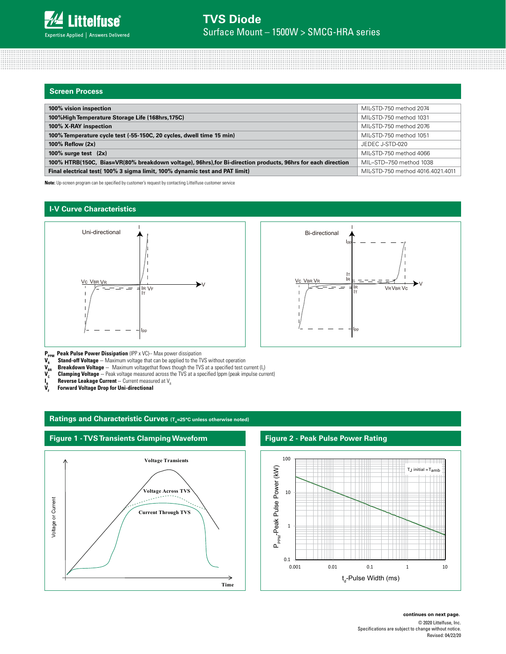| <b>Screen Process</b>                                                                                       |                                   |
|-------------------------------------------------------------------------------------------------------------|-----------------------------------|
|                                                                                                             |                                   |
| 100% vision inspection                                                                                      | MIL-STD-750 method 2074           |
| 100% High Temperature Storage Life (168hrs, 175C)                                                           | MIL-STD-750 method 1031           |
| 100% X-RAY inspection                                                                                       | MIL-STD-750 method 2076           |
| 100% Temperature cycle test (-55-150C, 20 cycles, dwell time 15 min)                                        | MIL-STD-750 method 1051           |
| 100% Reflow $(2x)$                                                                                          | JEDEC J-STD-020                   |
| 100% surge test $(2x)$                                                                                      | MIL-STD-750 method 4066           |
| 100% HTRB(150C, Bias=VR(80% breakdown voltage), 96hrs), for Bi-direction products, 96hrs for each direction | MIL-STD-750 method 1038           |
| Final electrical test( 100% 3 sigma limit, 100% dynamic test and PAT limit)                                 | MIL-STD-750 method 4016.4021.4011 |

**Note:** Up-screen program can be specified by customer's request by contacting Littelfuse customer service

# **I-V Curve Characteristics**





**P<sub>PPM</sub> Peak Pulse Power Dissipation** (IPP x VC)-- Max power dissipation  $V_R$  **Stand-off Voltage** – Maximum voltage that can be applied to the TV  $V_{BR}$  **Breakdown Voltage** – Maximum voltagethat flows though the TVS **Stand-off Voltage** -- Maximum voltage that can be applied to the TVS without operation

 $\bm V_{_{\sf BR}}$  **Breakdown Voltage** -- Maximum voltagethat flows though the TVS at a specified test current (I<sub>T</sub>)

V<sub>c</sub> Clamping Voltage -- Peak voltage measured across the TVS at a specified Ippm (peak impulse current)

**Reverse Leakage Current** -- Current measured at V<sub>R</sub>

 $\frac{1}{\mathsf{V}_{\scriptscriptstyle{F}}}$ **Forward Voltage Drop for Uni-directional** 

# Ratings and Characteristic Curves (T<sub>a</sub>=25°C unless otherwise noted)



# **Figure 2 - Peak Pulse Power Rating**



© 2020 Littelfuse, Inc. Specifications are subject to change without notice. Revised: 04/22/20 **continues on next page.**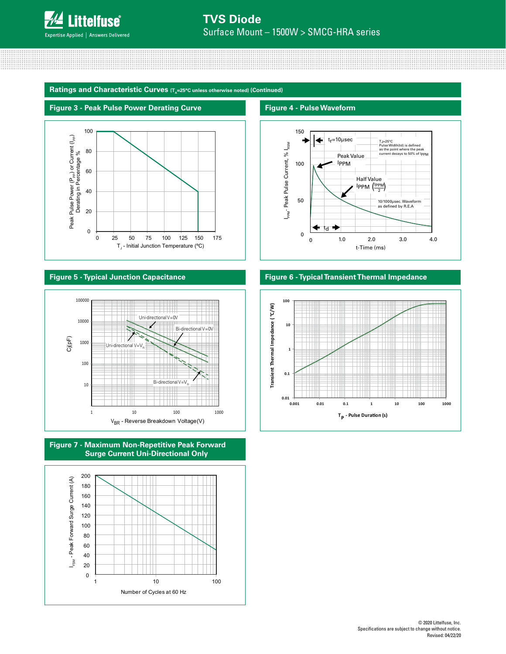

Ratings and Characteristic Curves (T<sub>a</sub>=25°C unless otherwise noted) (Continued)

#### **Figure 3 - Peak Pulse Power Derating Curve**



# **Figure 5 - Typical Junction Capacitance**







#### **Figure 4 - Pulse Waveform**



### **Figure 6 - Typical Transient Thermal Impedance**

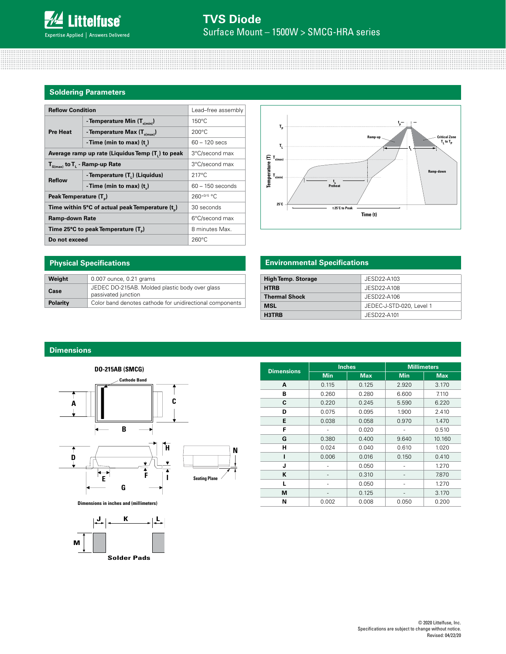#### **Soldering Parameters**

| <b>Reflow Condition</b>                          | Lead-free assembly                         |                    |  |  |  |  |
|--------------------------------------------------|--------------------------------------------|--------------------|--|--|--|--|
|                                                  | - Temperature Min (T <sub>s(min)</sub> )   | $150^{\circ}$ C    |  |  |  |  |
| <b>Pre Heat</b>                                  | - Temperature Max $(T_{\text{sum}})$       | $200^{\circ}$ C    |  |  |  |  |
|                                                  | -Time (min to max) $(t_1)$                 | $60 - 120$ secs    |  |  |  |  |
| Average ramp up rate (Liquidus Temp (T,) to peak | 3°C/second max                             |                    |  |  |  |  |
| $T_{\text{S(max)}}$ to $T_{L}$ - Ramp-up Rate    | 3°C/second max                             |                    |  |  |  |  |
| <b>Reflow</b>                                    | - Temperature (T <sub>1</sub> ) (Liquidus) | $217^{\circ}$ C    |  |  |  |  |
|                                                  | -Time (min to max) $(t_*)$                 | $60 - 150$ seconds |  |  |  |  |
| Peak Temperature (T <sub>n</sub> )               | 260+0/-5 °C                                |                    |  |  |  |  |
| Time within 5°C of actual peak Temperature (t)   | 30 seconds                                 |                    |  |  |  |  |
| <b>Ramp-down Rate</b>                            | 6°C/second max                             |                    |  |  |  |  |
| Time 25°C to peak Temperature (T <sub>a</sub> )  | 8 minutes Max.                             |                    |  |  |  |  |
| Do not exceed                                    | $260^{\circ}$ C                            |                    |  |  |  |  |



# **Environmental Specifications**

| <b>High Temp. Storage</b> | JESD22-A103              |
|---------------------------|--------------------------|
| <b>HTRB</b>               | JESD22-A108              |
| <b>Thermal Shock</b>      | JESD22-A106              |
| <b>MSL</b>                | JEDEC-J-STD-020, Level 1 |
| H3TRB                     | JESD22-A101              |

# **Dimensions**

**Physical Specifications**

Weight 0.007 ounce, 0.21 grams

passivated junction

**Case** JEDEC DO-215AB. Molded plastic body over glass

**Polarity** Color band denotes cathode for unidirectional components



**Dimensions in inches and (millimeters)**



|                   |            | <b>Inches</b> | <b>Millimeters</b> |            |  |
|-------------------|------------|---------------|--------------------|------------|--|
| <b>Dimensions</b> | <b>Min</b> | <b>Max</b>    | <b>Min</b>         | <b>Max</b> |  |
| A                 | 0.115      | 0.125         | 2.920              | 3.170      |  |
| В                 | 0.260      | 0.280         | 6.600              | 7.110      |  |
| C                 | 0.220      | 0.245         | 5.590              | 6.220      |  |
| D                 | 0.075      | 0.095         | 1.900              | 2.410      |  |
| Е                 | 0.038      | 0.058         | 0.970              | 1.470      |  |
| F                 |            | 0.020         |                    | 0.510      |  |
| G                 | 0.380      | 0.400         | 9.640              | 10.160     |  |
| н                 | 0.024      | 0.040         | 0.610              | 1.020      |  |
| ı                 | 0.006      | 0.016         | 0.150              | 0.410      |  |
| J                 |            | 0.050         |                    | 1.270      |  |
| K                 |            | 0.310         |                    | 7.870      |  |
| L                 |            | 0.050         |                    | 1.270      |  |
| M                 |            | 0.125         |                    | 3.170      |  |
| N                 | 0.002      | 0.008         | 0.050              | 0.200      |  |